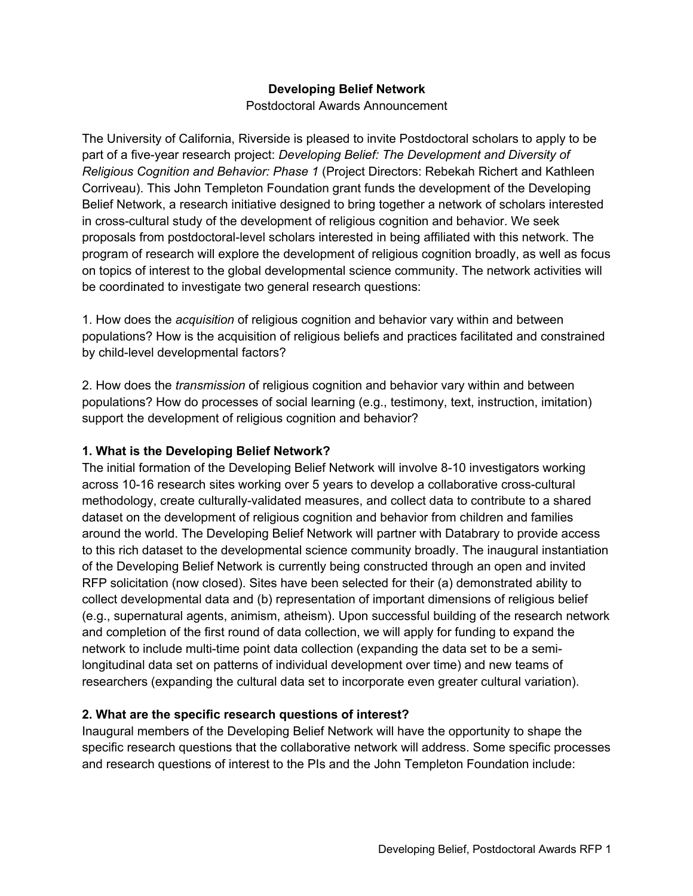### **Developing Belief Network**

Postdoctoral Awards Announcement

The University of California, Riverside is pleased to invite Postdoctoral scholars to apply to be part of a five-year research project: *Developing Belief: The Development and Diversity of Religious Cognition and Behavior: Phase 1* (Project Directors: Rebekah Richert and Kathleen Corriveau). This John Templeton Foundation grant funds the development of the Developing Belief Network, a research initiative designed to bring together a network of scholars interested in cross-cultural study of the development of religious cognition and behavior. We seek proposals from postdoctoral-level scholars interested in being affiliated with this network. The program of research will explore the development of religious cognition broadly, as well as focus on topics of interest to the global developmental science community. The network activities will be coordinated to investigate two general research questions:

1. How does the *acquisition* of religious cognition and behavior vary within and between populations? How is the acquisition of religious beliefs and practices facilitated and constrained by child-level developmental factors?

2. How does the *transmission* of religious cognition and behavior vary within and between populations? How do processes of social learning (e.g., testimony, text, instruction, imitation) support the development of religious cognition and behavior?

#### **1. What is the Developing Belief Network?**

The initial formation of the Developing Belief Network will involve 8-10 investigators working across 10-16 research sites working over 5 years to develop a collaborative cross-cultural methodology, create culturally-validated measures, and collect data to contribute to a shared dataset on the development of religious cognition and behavior from children and families around the world. The Developing Belief Network will partner with Databrary to provide access to this rich dataset to the developmental science community broadly. The inaugural instantiation of the Developing Belief Network is currently being constructed through an open and invited RFP solicitation (now closed). Sites have been selected for their (a) demonstrated ability to collect developmental data and (b) representation of important dimensions of religious belief (e.g., supernatural agents, animism, atheism). Upon successful building of the research network and completion of the first round of data collection, we will apply for funding to expand the network to include multi-time point data collection (expanding the data set to be a semilongitudinal data set on patterns of individual development over time) and new teams of researchers (expanding the cultural data set to incorporate even greater cultural variation).

# **2. What are the specific research questions of interest?**

Inaugural members of the Developing Belief Network will have the opportunity to shape the specific research questions that the collaborative network will address. Some specific processes and research questions of interest to the PIs and the John Templeton Foundation include: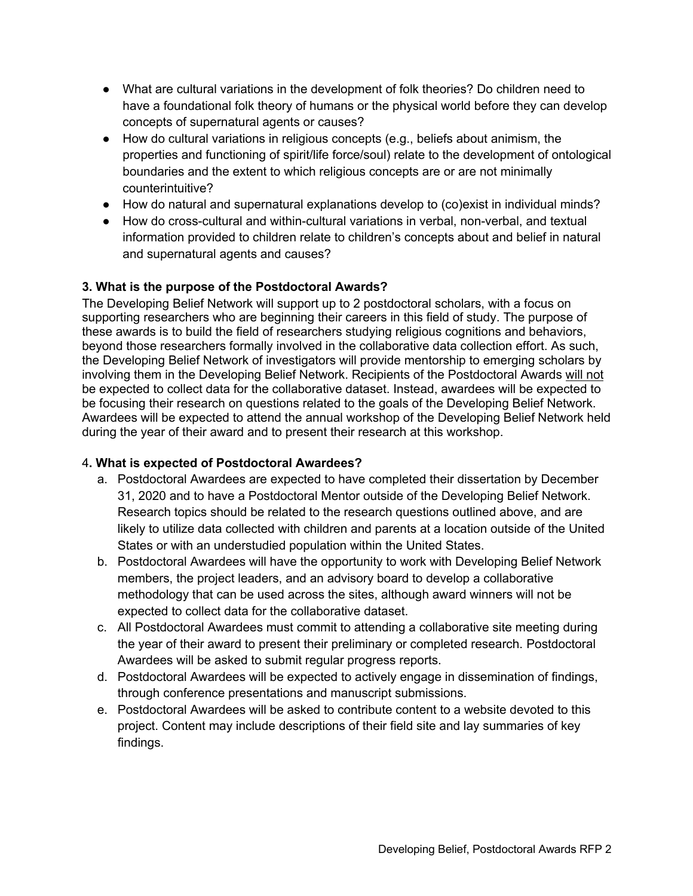- What are cultural variations in the development of folk theories? Do children need to have a foundational folk theory of humans or the physical world before they can develop concepts of supernatural agents or causes?
- How do cultural variations in religious concepts (e.g., beliefs about animism, the properties and functioning of spirit/life force/soul) relate to the development of ontological boundaries and the extent to which religious concepts are or are not minimally counterintuitive?
- How do natural and supernatural explanations develop to (co)exist in individual minds?
- How do cross-cultural and within-cultural variations in verbal, non-verbal, and textual information provided to children relate to children's concepts about and belief in natural and supernatural agents and causes?

# **3. What is the purpose of the Postdoctoral Awards?**

The Developing Belief Network will support up to 2 postdoctoral scholars, with a focus on supporting researchers who are beginning their careers in this field of study. The purpose of these awards is to build the field of researchers studying religious cognitions and behaviors, beyond those researchers formally involved in the collaborative data collection effort. As such, the Developing Belief Network of investigators will provide mentorship to emerging scholars by involving them in the Developing Belief Network. Recipients of the Postdoctoral Awards will not be expected to collect data for the collaborative dataset. Instead, awardees will be expected to be focusing their research on questions related to the goals of the Developing Belief Network. Awardees will be expected to attend the annual workshop of the Developing Belief Network held during the year of their award and to present their research at this workshop.

# 4**. What is expected of Postdoctoral Awardees?**

- a. Postdoctoral Awardees are expected to have completed their dissertation by December 31, 2020 and to have a Postdoctoral Mentor outside of the Developing Belief Network. Research topics should be related to the research questions outlined above, and are likely to utilize data collected with children and parents at a location outside of the United States or with an understudied population within the United States.
- b. Postdoctoral Awardees will have the opportunity to work with Developing Belief Network members, the project leaders, and an advisory board to develop a collaborative methodology that can be used across the sites, although award winners will not be expected to collect data for the collaborative dataset.
- c. All Postdoctoral Awardees must commit to attending a collaborative site meeting during the year of their award to present their preliminary or completed research. Postdoctoral Awardees will be asked to submit regular progress reports.
- d. Postdoctoral Awardees will be expected to actively engage in dissemination of findings, through conference presentations and manuscript submissions.
- e. Postdoctoral Awardees will be asked to contribute content to a website devoted to this project. Content may include descriptions of their field site and lay summaries of key findings.